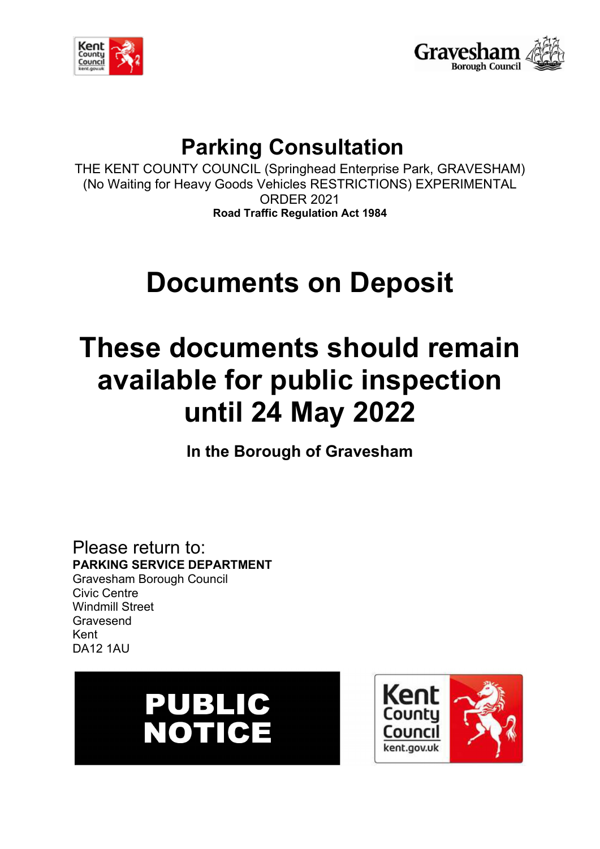



## **Parking Consultation**

THE KENT COUNTY COUNCIL (Springhead Enterprise Park, GRAVESHAM) (No Waiting for Heavy Goods Vehicles RESTRICTIONS) EXPERIMENTAL ORDER 2021 **Road Traffic Regulation Act 1984**

# **Documents on Deposit**

## **These documents should remain available for public inspection until 24 May 2022**

**In the Borough of Gravesham**

Please return to: **PARKING SERVICE DEPARTMENT** Gravesham Borough Council Civic Centre Windmill Street Gravesend Kent DA12 1AU



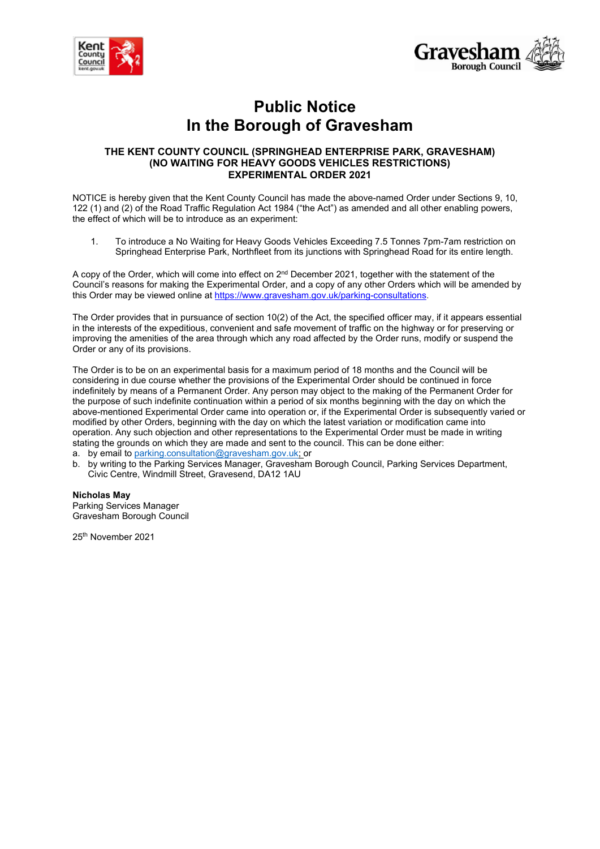



## **Public Notice In the Borough of Gravesham**

#### **THE KENT COUNTY COUNCIL (SPRINGHEAD ENTERPRISE PARK, GRAVESHAM) (NO WAITING FOR HEAVY GOODS VEHICLES RESTRICTIONS) EXPERIMENTAL ORDER 2021**

NOTICE is hereby given that the Kent County Council has made the above-named Order under Sections 9, 10, 122 (1) and (2) of the Road Traffic Regulation Act 1984 ("the Act") as amended and all other enabling powers, the effect of which will be to introduce as an experiment:

1. To introduce a No Waiting for Heavy Goods Vehicles Exceeding 7.5 Tonnes 7pm-7am restriction on Springhead Enterprise Park, Northfleet from its junctions with Springhead Road for its entire length.

A copy of the Order, which will come into effect on 2<sup>nd</sup> December 2021, together with the statement of the Council's reasons for making the Experimental Order, and a copy of any other Orders which will be amended by this Order may be viewed online at [https://www.gravesham.gov.uk/parking-consultations.](https://www.gravesham.gov.uk/parking-consultations)

The Order provides that in pursuance of section 10(2) of the Act, the specified officer may, if it appears essential in the interests of the expeditious, convenient and safe movement of traffic on the highway or for preserving or improving the amenities of the area through which any road affected by the Order runs, modify or suspend the Order or any of its provisions.

The Order is to be on an experimental basis for a maximum period of 18 months and the Council will be considering in due course whether the provisions of the Experimental Order should be continued in force indefinitely by means of a Permanent Order. Any person may object to the making of the Permanent Order for the purpose of such indefinite continuation within a period of six months beginning with the day on which the above-mentioned Experimental Order came into operation or, if the Experimental Order is subsequently varied or modified by other Orders, beginning with the day on which the latest variation or modification came into operation. Any such objection and other representations to the Experimental Order must be made in writing stating the grounds on which they are made and sent to the council. This can be done either:

- a. by email t[o parking.consultation@gravesham.gov.uk;](mailto:parking.consultation@gravesham.gov.uk) or
- b. by writing to the Parking Services Manager, Gravesham Borough Council, Parking Services Department, Civic Centre, Windmill Street, Gravesend, DA12 1AU

#### **Nicholas May**

Parking Services Manager Gravesham Borough Council

25th November 2021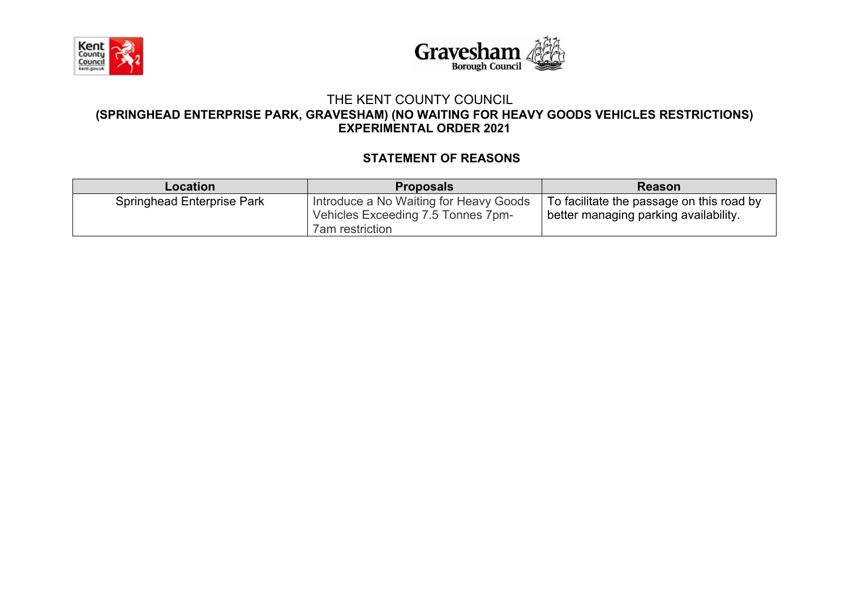



#### THE KENT COUNTY COUNCIL **(SPRINGHEAD ENTERPRISE PARK, GRAVESHAM) (NO WAITING FOR HEAVY GOODS VEHICLES RESTRICTIONS) EXPERIMENTAL ORDER 2021**

## **STATEMENT OF REASONS**

| <b>Location</b>                   | <b>Proposals</b>                                                                                       | <b>Reason</b>                                                                      |
|-----------------------------------|--------------------------------------------------------------------------------------------------------|------------------------------------------------------------------------------------|
| <b>Springhead Enterprise Park</b> | Introduce a No Waiting for Heavy Goods<br>Vehicles Exceeding 7.5 Tonnes 7pm-<br><b>7am</b> restriction | To facilitate the passage on this road by<br>better managing parking availability. |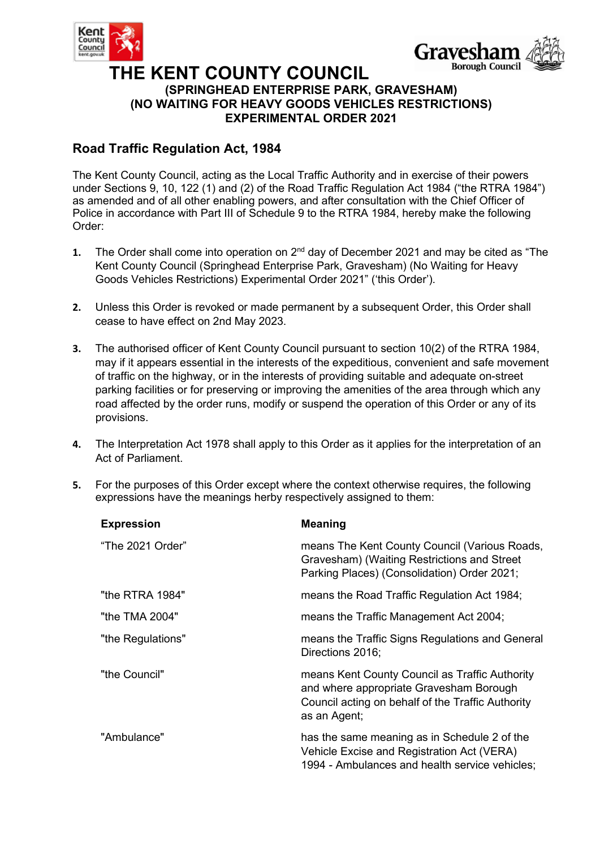



### **THE KENT COUNTY COUNCIL (SPRINGHEAD ENTERPRISE PARK, GRAVESHAM) (NO WAITING FOR HEAVY GOODS VEHICLES RESTRICTIONS) EXPERIMENTAL ORDER 2021**

### **Road Traffic Regulation Act, 1984**

The Kent County Council, acting as the Local Traffic Authority and in exercise of their powers under Sections 9, 10, 122 (1) and (2) of the Road Traffic Regulation Act 1984 ("the RTRA 1984") as amended and of all other enabling powers, and after consultation with the Chief Officer of Police in accordance with Part III of Schedule 9 to the RTRA 1984, hereby make the following Order:

- 1. The Order shall come into operation on 2<sup>nd</sup> day of December 2021 and may be cited as "The Kent County Council (Springhead Enterprise Park, Gravesham) (No Waiting for Heavy Goods Vehicles Restrictions) Experimental Order 2021" ('this Order').
- **2.** Unless this Order is revoked or made permanent by a subsequent Order, this Order shall cease to have effect on 2nd May 2023.
- **3.** The authorised officer of Kent County Council pursuant to section 10(2) of the RTRA 1984, may if it appears essential in the interests of the expeditious, convenient and safe movement of traffic on the highway, or in the interests of providing suitable and adequate on-street parking facilities or for preserving or improving the amenities of the area through which any road affected by the order runs, modify or suspend the operation of this Order or any of its provisions.
- **4.** The Interpretation Act 1978 shall apply to this Order as it applies for the interpretation of an Act of Parliament.
- **5.** For the purposes of this Order except where the context otherwise requires, the following expressions have the meanings herby respectively assigned to them:

| <b>Expression</b> | <b>Meaning</b>                                                                                                                                                 |
|-------------------|----------------------------------------------------------------------------------------------------------------------------------------------------------------|
| "The 2021 Order"  | means The Kent County Council (Various Roads,<br>Gravesham) (Waiting Restrictions and Street<br>Parking Places) (Consolidation) Order 2021;                    |
| "the RTRA 1984"   | means the Road Traffic Regulation Act 1984;                                                                                                                    |
| "the TMA 2004"    | means the Traffic Management Act 2004;                                                                                                                         |
| "the Regulations" | means the Traffic Signs Regulations and General<br>Directions 2016;                                                                                            |
| "the Council"     | means Kent County Council as Traffic Authority<br>and where appropriate Gravesham Borough<br>Council acting on behalf of the Traffic Authority<br>as an Agent; |
| "Ambulance"       | has the same meaning as in Schedule 2 of the<br>Vehicle Excise and Registration Act (VERA)<br>1994 - Ambulances and health service vehicles;                   |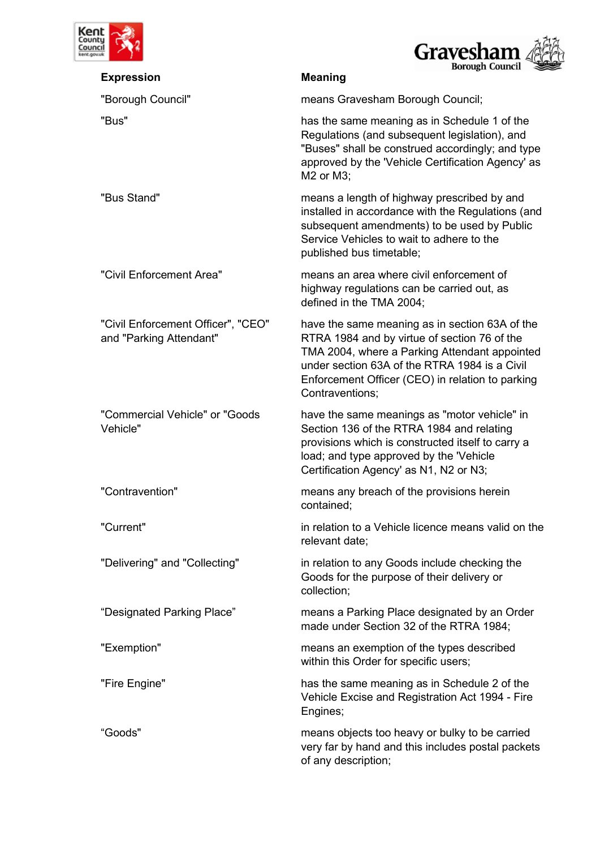

| nt                                                            | Gravesham                                                                                                                                                                                                                                                               |
|---------------------------------------------------------------|-------------------------------------------------------------------------------------------------------------------------------------------------------------------------------------------------------------------------------------------------------------------------|
| <b>Expression</b>                                             | <b>Borough Council</b><br><b>Meaning</b>                                                                                                                                                                                                                                |
| "Borough Council"                                             | means Gravesham Borough Council;                                                                                                                                                                                                                                        |
| "Bus"                                                         | has the same meaning as in Schedule 1 of the<br>Regulations (and subsequent legislation), and<br>"Buses" shall be construed accordingly; and type<br>approved by the 'Vehicle Certification Agency' as<br>M2 or M3;                                                     |
| "Bus Stand"                                                   | means a length of highway prescribed by and<br>installed in accordance with the Regulations (and<br>subsequent amendments) to be used by Public<br>Service Vehicles to wait to adhere to the<br>published bus timetable;                                                |
| "Civil Enforcement Area"                                      | means an area where civil enforcement of<br>highway regulations can be carried out, as<br>defined in the TMA 2004;                                                                                                                                                      |
| "Civil Enforcement Officer", "CEO"<br>and "Parking Attendant" | have the same meaning as in section 63A of the<br>RTRA 1984 and by virtue of section 76 of the<br>TMA 2004, where a Parking Attendant appointed<br>under section 63A of the RTRA 1984 is a Civil<br>Enforcement Officer (CEO) in relation to parking<br>Contraventions; |
| "Commercial Vehicle" or "Goods<br>Vehicle"                    | have the same meanings as "motor vehicle" in<br>Section 136 of the RTRA 1984 and relating<br>provisions which is constructed itself to carry a<br>load; and type approved by the 'Vehicle<br>Certification Agency' as N1, N2 or N3;                                     |
| "Contravention"                                               | means any breach of the provisions herein<br>contained;                                                                                                                                                                                                                 |
| "Current"                                                     | in relation to a Vehicle licence means valid on the<br>relevant date:                                                                                                                                                                                                   |
| "Delivering" and "Collecting"                                 | in relation to any Goods include checking the<br>Goods for the purpose of their delivery or<br>collection;                                                                                                                                                              |
| "Designated Parking Place"                                    | means a Parking Place designated by an Order<br>made under Section 32 of the RTRA 1984;                                                                                                                                                                                 |
| "Exemption"                                                   | means an exemption of the types described<br>within this Order for specific users;                                                                                                                                                                                      |
| "Fire Engine"                                                 | has the same meaning as in Schedule 2 of the<br>Vehicle Excise and Registration Act 1994 - Fire<br>Engines;                                                                                                                                                             |
| "Goods"                                                       | means objects too heavy or bulky to be carried<br>very far by hand and this includes postal packets<br>of any description;                                                                                                                                              |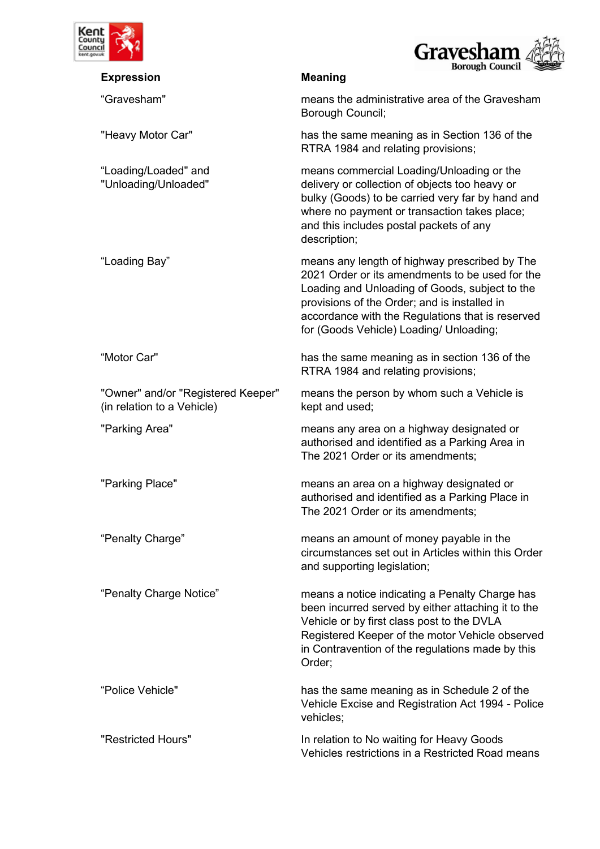



|                                                                  | <b>Borough Council</b>                                                                                                                                                                                                                                                                            |
|------------------------------------------------------------------|---------------------------------------------------------------------------------------------------------------------------------------------------------------------------------------------------------------------------------------------------------------------------------------------------|
| <b>Expression</b>                                                | <b>Meaning</b>                                                                                                                                                                                                                                                                                    |
| "Gravesham"                                                      | means the administrative area of the Gravesham<br>Borough Council;                                                                                                                                                                                                                                |
| "Heavy Motor Car"                                                | has the same meaning as in Section 136 of the<br>RTRA 1984 and relating provisions;                                                                                                                                                                                                               |
| "Loading/Loaded" and<br>"Unloading/Unloaded"                     | means commercial Loading/Unloading or the<br>delivery or collection of objects too heavy or<br>bulky (Goods) to be carried very far by hand and<br>where no payment or transaction takes place;<br>and this includes postal packets of any<br>description;                                        |
| "Loading Bay"                                                    | means any length of highway prescribed by The<br>2021 Order or its amendments to be used for the<br>Loading and Unloading of Goods, subject to the<br>provisions of the Order; and is installed in<br>accordance with the Regulations that is reserved<br>for (Goods Vehicle) Loading/ Unloading; |
| "Motor Car"                                                      | has the same meaning as in section 136 of the<br>RTRA 1984 and relating provisions;                                                                                                                                                                                                               |
| "Owner" and/or "Registered Keeper"<br>(in relation to a Vehicle) | means the person by whom such a Vehicle is<br>kept and used;                                                                                                                                                                                                                                      |
| "Parking Area"                                                   | means any area on a highway designated or<br>authorised and identified as a Parking Area in<br>The 2021 Order or its amendments;                                                                                                                                                                  |
| "Parking Place"                                                  | means an area on a highway designated or<br>authorised and identified as a Parking Place in<br>The 2021 Order or its amendments;                                                                                                                                                                  |
| "Penalty Charge"                                                 | means an amount of money payable in the<br>circumstances set out in Articles within this Order<br>and supporting legislation;                                                                                                                                                                     |
| "Penalty Charge Notice"                                          | means a notice indicating a Penalty Charge has<br>been incurred served by either attaching it to the<br>Vehicle or by first class post to the DVLA<br>Registered Keeper of the motor Vehicle observed<br>in Contravention of the regulations made by this<br>Order;                               |
| "Police Vehicle"                                                 | has the same meaning as in Schedule 2 of the<br>Vehicle Excise and Registration Act 1994 - Police<br>vehicles;                                                                                                                                                                                    |
| "Restricted Hours"                                               | In relation to No waiting for Heavy Goods<br>Vehicles restrictions in a Restricted Road means                                                                                                                                                                                                     |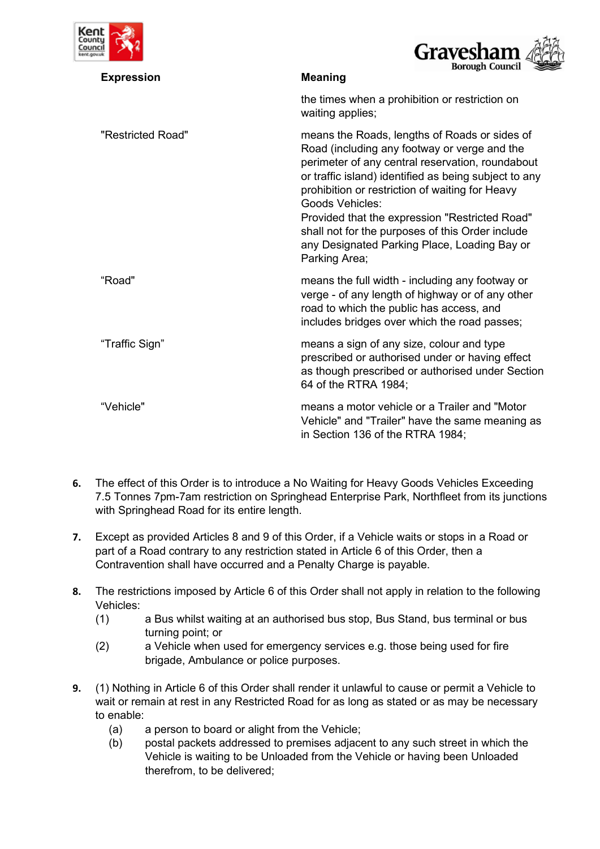



| <b>Expression</b> | <b>Borough Council</b><br><b>Meaning</b>                                                                                                                                                                                                                                                                                                                                                                                                                |
|-------------------|---------------------------------------------------------------------------------------------------------------------------------------------------------------------------------------------------------------------------------------------------------------------------------------------------------------------------------------------------------------------------------------------------------------------------------------------------------|
|                   | the times when a prohibition or restriction on<br>waiting applies;                                                                                                                                                                                                                                                                                                                                                                                      |
| "Restricted Road" | means the Roads, lengths of Roads or sides of<br>Road (including any footway or verge and the<br>perimeter of any central reservation, roundabout<br>or traffic island) identified as being subject to any<br>prohibition or restriction of waiting for Heavy<br>Goods Vehicles:<br>Provided that the expression "Restricted Road"<br>shall not for the purposes of this Order include<br>any Designated Parking Place, Loading Bay or<br>Parking Area; |
| "Road"            | means the full width - including any footway or<br>verge - of any length of highway or of any other<br>road to which the public has access, and<br>includes bridges over which the road passes;                                                                                                                                                                                                                                                         |
| "Traffic Sign"    | means a sign of any size, colour and type<br>prescribed or authorised under or having effect<br>as though prescribed or authorised under Section<br>64 of the RTRA 1984;                                                                                                                                                                                                                                                                                |
| "Vehicle"         | means a motor vehicle or a Trailer and "Motor<br>Vehicle" and "Trailer" have the same meaning as<br>in Section 136 of the RTRA 1984;                                                                                                                                                                                                                                                                                                                    |

- **6.** The effect of this Order is to introduce a No Waiting for Heavy Goods Vehicles Exceeding 7.5 Tonnes 7pm-7am restriction on Springhead Enterprise Park, Northfleet from its junctions with Springhead Road for its entire length.
- **7.** Except as provided Articles 8 and 9 of this Order, if a Vehicle waits or stops in a Road or part of a Road contrary to any restriction stated in Article 6 of this Order, then a Contravention shall have occurred and a Penalty Charge is payable.
- **8.** The restrictions imposed by Article 6 of this Order shall not apply in relation to the following Vehicles:
	- (1) a Bus whilst waiting at an authorised bus stop, Bus Stand, bus terminal or bus turning point; or
	- (2) a Vehicle when used for emergency services e.g. those being used for fire brigade, Ambulance or police purposes.
- **9.** (1) Nothing in Article 6 of this Order shall render it unlawful to cause or permit a Vehicle to wait or remain at rest in any Restricted Road for as long as stated or as may be necessary to enable:
	- (a) a person to board or alight from the Vehicle;
	- (b) postal packets addressed to premises adjacent to any such street in which the Vehicle is waiting to be Unloaded from the Vehicle or having been Unloaded therefrom, to be delivered;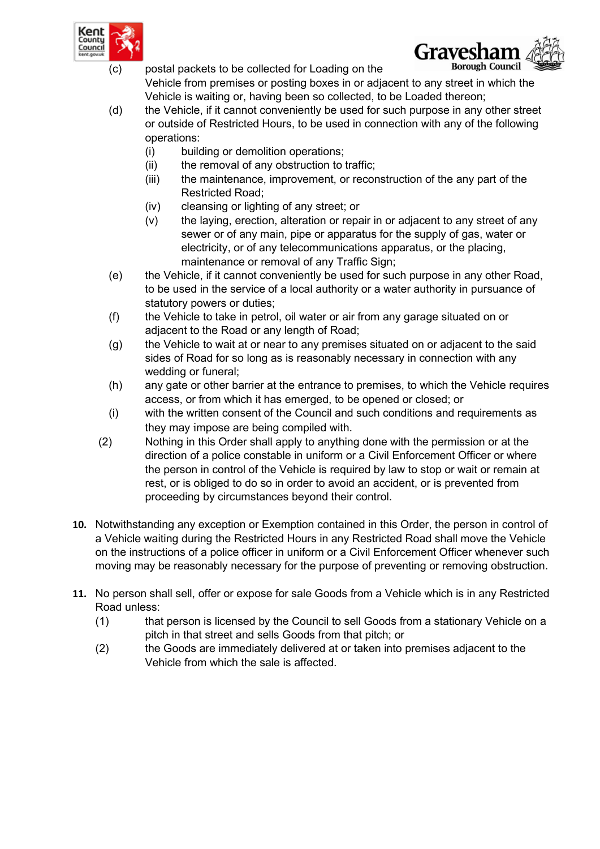

(c) postal packets to be collected for Loading on the



- Vehicle from premises or posting boxes in or adjacent to any street in which the Vehicle is waiting or, having been so collected, to be Loaded thereon;
- (d) the Vehicle, if it cannot conveniently be used for such purpose in any other street or outside of Restricted Hours, to be used in connection with any of the following operations:
	- (i) building or demolition operations;
	- (ii) the removal of any obstruction to traffic;
	- (iii) the maintenance, improvement, or reconstruction of the any part of the Restricted Road;
	- (iv) cleansing or lighting of any street; or
	- (v) the laying, erection, alteration or repair in or adjacent to any street of any sewer or of any main, pipe or apparatus for the supply of gas, water or electricity, or of any telecommunications apparatus, or the placing, maintenance or removal of any Traffic Sign:
- (e) the Vehicle, if it cannot conveniently be used for such purpose in any other Road, to be used in the service of a local authority or a water authority in pursuance of statutory powers or duties;
- (f) the Vehicle to take in petrol, oil water or air from any garage situated on or adjacent to the Road or any length of Road;
- (g) the Vehicle to wait at or near to any premises situated on or adjacent to the said sides of Road for so long as is reasonably necessary in connection with any wedding or funeral;
- (h) any gate or other barrier at the entrance to premises, to which the Vehicle requires access, or from which it has emerged, to be opened or closed; or
- (i) with the written consent of the Council and such conditions and requirements as they may impose are being compiled with.
- (2) Nothing in this Order shall apply to anything done with the permission or at the direction of a police constable in uniform or a Civil Enforcement Officer or where the person in control of the Vehicle is required by law to stop or wait or remain at rest, or is obliged to do so in order to avoid an accident, or is prevented from proceeding by circumstances beyond their control.
- **10.** Notwithstanding any exception or Exemption contained in this Order, the person in control of a Vehicle waiting during the Restricted Hours in any Restricted Road shall move the Vehicle on the instructions of a police officer in uniform or a Civil Enforcement Officer whenever such moving may be reasonably necessary for the purpose of preventing or removing obstruction.
- **11.** No person shall sell, offer or expose for sale Goods from a Vehicle which is in any Restricted Road unless:
	- (1) that person is licensed by the Council to sell Goods from a stationary Vehicle on a pitch in that street and sells Goods from that pitch; or
	- (2) the Goods are immediately delivered at or taken into premises adjacent to the Vehicle from which the sale is affected.